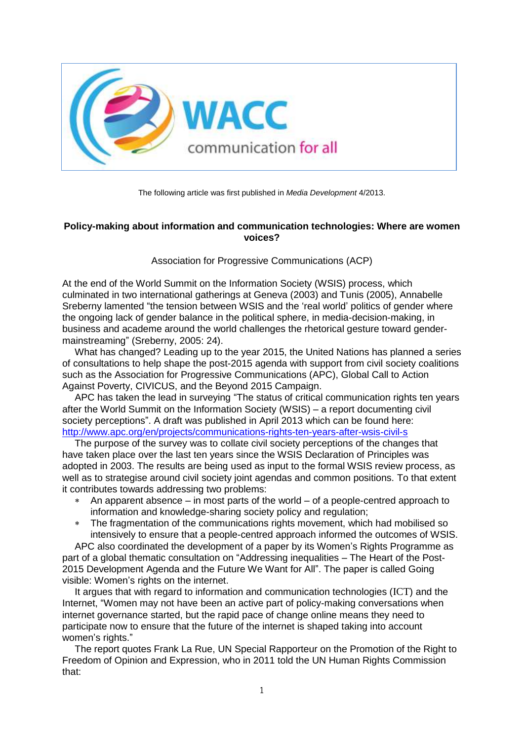

The following article was first published in *Media Development* 4/2013.

# **Policy-making about information and communication technologies: Where are women voices?**

Association for Progressive Communications (ACP)

At the end of the World Summit on the Information Society (WSIS) process, which culminated in two international gatherings at Geneva (2003) and Tunis (2005), Annabelle Sreberny lamented "the tension between WSIS and the 'real world' politics of gender where the ongoing lack of gender balance in the political sphere, in media-decision-making, in business and academe around the world challenges the rhetorical gesture toward gendermainstreaming" (Sreberny, 2005: 24).

What has changed? Leading up to the year 2015, the United Nations has planned a series of consultations to help shape the post-2015 agenda with support from civil society coalitions such as the Association for Progressive Communications (APC), Global Call to Action Against Poverty, CIVICUS, and the Beyond 2015 Campaign.

APC has taken the lead in surveying "The status of critical communication rights ten years after the World Summit on the Information Society (WSIS) – a report documenting civil society perceptions". A draft was published in April 2013 which can be found here: <http://www.apc.org/en/projects/communications-rights-ten-years-after-wsis-civil-s>

The purpose of the survey was to collate civil society perceptions of the changes that have taken place over the last ten years since the WSIS Declaration of Principles was adopted in 2003. The results are being used as input to the formal WSIS review process, as well as to strategise around civil society joint agendas and common positions. To that extent it contributes towards addressing two problems:

- An apparent absence in most parts of the world of a people-centred approach to information and knowledge-sharing society policy and regulation;
- The fragmentation of the communications rights movement, which had mobilised so intensively to ensure that a people-centred approach informed the outcomes of WSIS.

APC also coordinated the development of a paper by its Women's Rights Programme as part of a global thematic consultation on "Addressing inequalities – The Heart of the Post-2015 Development Agenda and the Future We Want for All". The paper is called Going visible: Women's rights on the internet.

It argues that with regard to information and communication technologies (ICT) and the Internet, "Women may not have been an active part of policy-making conversations when internet governance started, but the rapid pace of change online means they need to participate now to ensure that the future of the internet is shaped taking into account women's rights."

The report quotes Frank La Rue, UN Special Rapporteur on the Promotion of the Right to Freedom of Opinion and Expression, who in 2011 told the UN Human Rights Commission that: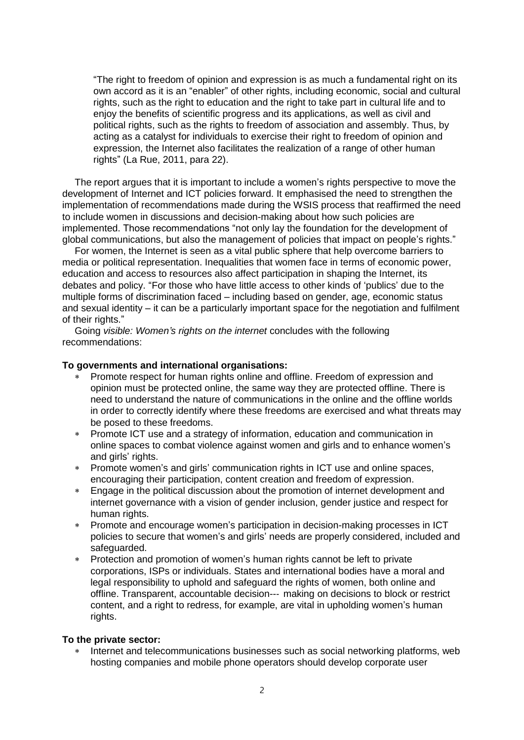"The right to freedom of opinion and expression is as much a fundamental right on its own accord as it is an "enabler" of other rights, including economic, social and cultural rights, such as the right to education and the right to take part in cultural life and to enjoy the benefits of scientific progress and its applications, as well as civil and political rights, such as the rights to freedom of association and assembly. Thus, by acting as a catalyst for individuals to exercise their right to freedom of opinion and expression, the Internet also facilitates the realization of a range of other human rights" (La Rue, 2011, para 22).

The report argues that it is important to include a women's rights perspective to move the development of Internet and ICT policies forward. It emphasised the need to strengthen the implementation of recommendations made during the WSIS process that reaffirmed the need to include women in discussions and decision-making about how such policies are implemented. Those recommendations "not only lay the foundation for the development of global communications, but also the management of policies that impact on people's rights."

For women, the Internet is seen as a vital public sphere that help overcome barriers to media or political representation. Inequalities that women face in terms of economic power, education and access to resources also affect participation in shaping the Internet, its debates and policy. "For those who have little access to other kinds of 'publics' due to the multiple forms of discrimination faced – including based on gender, age, economic status and sexual identity – it can be a particularly important space for the negotiation and fulfilment of their rights."

Going *visible: Women's rights on the internet* concludes with the following recommendations:

### **To governments and international organisations:**

- Promote respect for human rights online and offline. Freedom of expression and opinion must be protected online, the same way they are protected offline. There is need to understand the nature of communications in the online and the offline worlds in order to correctly identify where these freedoms are exercised and what threats may be posed to these freedoms.
- Promote ICT use and a strategy of information, education and communication in online spaces to combat violence against women and girls and to enhance women's and girls' rights.
- Promote women's and girls' communication rights in ICT use and online spaces, encouraging their participation, content creation and freedom of expression.
- Engage in the political discussion about the promotion of internet development and internet governance with a vision of gender inclusion, gender justice and respect for human rights.
- Promote and encourage women's participation in decision-making processes in ICT policies to secure that women's and girls' needs are properly considered, included and safeguarded.
- Protection and promotion of women's human rights cannot be left to private corporations, ISPs or individuals. States and international bodies have a moral and legal responsibility to uphold and safeguard the rights of women, both online and offline. Transparent, accountable decision--‐ making on decisions to block or restrict content, and a right to redress, for example, are vital in upholding women's human rights.

#### **To the private sector:**

 Internet and telecommunications businesses such as social networking platforms, web hosting companies and mobile phone operators should develop corporate user